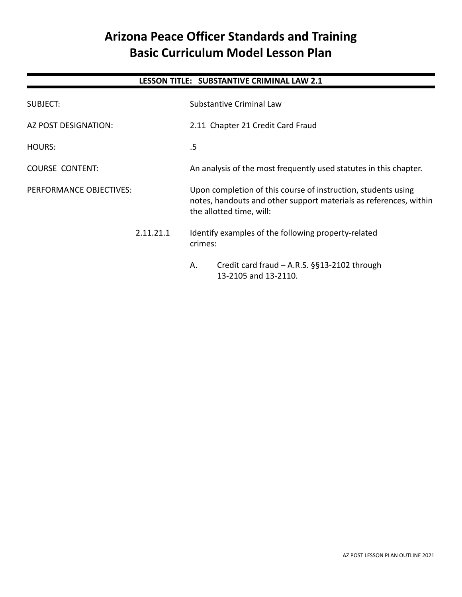# **Arizona Peace Officer Standards and Training Basic Curriculum Model Lesson Plan**

# **LESSON TITLE: SUBSTANTIVE CRIMINAL LAW 2.1**

| SUBJECT:                |  | Substantive Criminal Law                                                                                                                                       |
|-------------------------|--|----------------------------------------------------------------------------------------------------------------------------------------------------------------|
| AZ POST DESIGNATION:    |  | 2.11 Chapter 21 Credit Card Fraud                                                                                                                              |
| <b>HOURS:</b>           |  | .5                                                                                                                                                             |
| <b>COURSE CONTENT:</b>  |  | An analysis of the most frequently used statutes in this chapter.                                                                                              |
| PERFORMANCE OBJECTIVES: |  | Upon completion of this course of instruction, students using<br>notes, handouts and other support materials as references, within<br>the allotted time, will: |
| 2.11.21.1               |  | Identify examples of the following property-related<br>crimes:                                                                                                 |
|                         |  | Credit card fraud - A.R.S. §§13-2102 through<br>Α.<br>13-2105 and 13-2110.                                                                                     |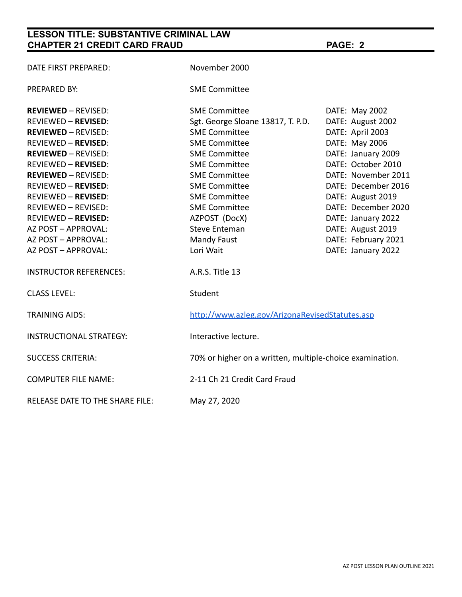# **LESSON TITLE: SUBSTANTIVE CRIMINAL LAW CHAPTER 21 CREDIT CARD FRAUD PAGE: 2**

| DATE FIRST PREPARED:                   | November 2000                                            |                     |  |
|----------------------------------------|----------------------------------------------------------|---------------------|--|
| <b>PREPARED BY:</b>                    | <b>SME Committee</b>                                     |                     |  |
| <b>REVIEWED - REVISED:</b>             | <b>SME Committee</b>                                     | DATE: May 2002      |  |
| <b>REVIEWED - REVISED:</b>             | Sgt. George Sloane 13817, T. P.D.                        | DATE: August 2002   |  |
| <b>REVIEWED - REVISED:</b>             | <b>SME Committee</b>                                     | DATE: April 2003    |  |
| <b>REVIEWED - REVISED:</b>             | <b>SME Committee</b>                                     | DATE: May 2006      |  |
| <b>REVIEWED - REVISED:</b>             | <b>SME Committee</b>                                     | DATE: January 2009  |  |
| <b>REVIEWED - REVISED:</b>             | <b>SME Committee</b>                                     | DATE: October 2010  |  |
| <b>REVIEWED - REVISED:</b>             | <b>SME Committee</b>                                     | DATE: November 2011 |  |
| <b>REVIEWED - REVISED:</b>             | <b>SME Committee</b>                                     | DATE: December 2016 |  |
| <b>REVIEWED - REVISED:</b>             | <b>SME Committee</b>                                     | DATE: August 2019   |  |
| <b>REVIEWED - REVISED:</b>             | <b>SME Committee</b>                                     | DATE: December 2020 |  |
| <b>REVIEWED - REVISED:</b>             | AZPOST (DocX)                                            | DATE: January 2022  |  |
| AZ POST - APPROVAL:                    | <b>Steve Enteman</b>                                     | DATE: August 2019   |  |
| AZ POST - APPROVAL:                    | <b>Mandy Faust</b>                                       | DATE: February 2021 |  |
| AZ POST - APPROVAL:                    | Lori Wait                                                | DATE: January 2022  |  |
| <b>INSTRUCTOR REFERENCES:</b>          | A.R.S. Title 13                                          |                     |  |
| <b>CLASS LEVEL:</b>                    | Student                                                  |                     |  |
| <b>TRAINING AIDS:</b>                  | http://www.azleg.gov/ArizonaRevisedStatutes.asp          |                     |  |
| <b>INSTRUCTIONAL STRATEGY:</b>         | Interactive lecture.                                     |                     |  |
| <b>SUCCESS CRITERIA:</b>               | 70% or higher on a written, multiple-choice examination. |                     |  |
| <b>COMPUTER FILE NAME:</b>             | 2-11 Ch 21 Credit Card Fraud                             |                     |  |
| <b>RELEASE DATE TO THE SHARE FILE:</b> | May 27, 2020                                             |                     |  |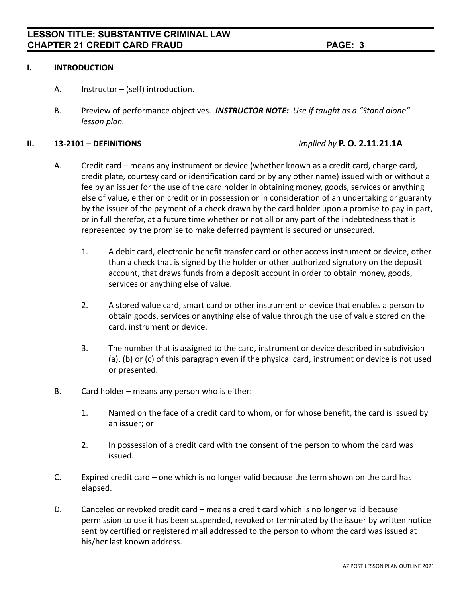#### **I. INTRODUCTION**

- A. Instructor (self) introduction.
- B. Preview of performance objectives. *INSTRUCTOR NOTE: Use if taught as a "Stand alone" lesson plan.*

#### **II. 13-2101 – DEFINITIONS** *Implied by* **P. O. 2.11.21.1A**

- A. Credit card means any instrument or device (whether known as a credit card, charge card, credit plate, courtesy card or identification card or by any other name) issued with or without a fee by an issuer for the use of the card holder in obtaining money, goods, services or anything else of value, either on credit or in possession or in consideration of an undertaking or guaranty by the issuer of the payment of a check drawn by the card holder upon a promise to pay in part, or in full therefor, at a future time whether or not all or any part of the indebtedness that is represented by the promise to make deferred payment is secured or unsecured.
	- 1. A debit card, electronic benefit transfer card or other access instrument or device, other than a check that is signed by the holder or other authorized signatory on the deposit account, that draws funds from a deposit account in order to obtain money, goods, services or anything else of value.
	- 2. A stored value card, smart card or other instrument or device that enables a person to obtain goods, services or anything else of value through the use of value stored on the card, instrument or device.
	- 3. The number that is assigned to the card, instrument or device described in subdivision (a), (b) or (c) of this paragraph even if the physical card, instrument or device is not used or presented.
- B. Card holder means any person who is either:
	- 1. Named on the face of a credit card to whom, or for whose benefit, the card is issued by an issuer; or
	- 2. In possession of a credit card with the consent of the person to whom the card was issued.
- C. Expired credit card one which is no longer valid because the term shown on the card has elapsed.
- D. Canceled or revoked credit card means a credit card which is no longer valid because permission to use it has been suspended, revoked or terminated by the issuer by written notice sent by certified or registered mail addressed to the person to whom the card was issued at his/her last known address.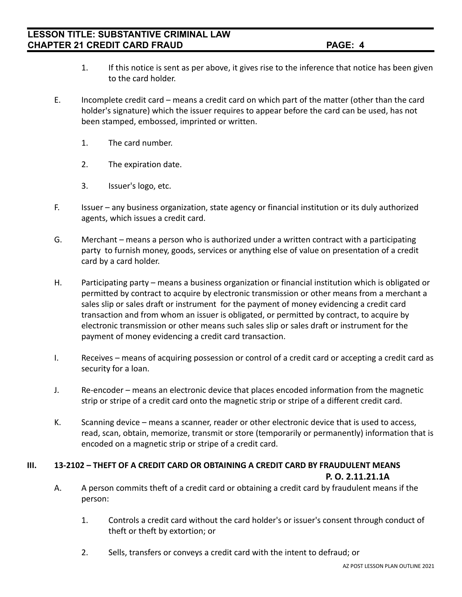- 1. If this notice is sent as per above, it gives rise to the inference that notice has been given to the card holder.
- E. Incomplete credit card means a credit card on which part of the matter (other than the card holder's signature) which the issuer requires to appear before the card can be used, has not been stamped, embossed, imprinted or written.
	- 1. The card number.
	- 2. The expiration date.
	- 3. Issuer's logo, etc.
- F. Issuer any business organization, state agency or financial institution or its duly authorized agents, which issues a credit card.
- G. Merchant means a person who is authorized under a written contract with a participating party to furnish money, goods, services or anything else of value on presentation of a credit card by a card holder.
- H. Participating party means a business organization or financial institution which is obligated or permitted by contract to acquire by electronic transmission or other means from a merchant a sales slip or sales draft or instrument for the payment of money evidencing a credit card transaction and from whom an issuer is obligated, or permitted by contract, to acquire by electronic transmission or other means such sales slip or sales draft or instrument for the payment of money evidencing a credit card transaction.
- I. Receives means of acquiring possession or control of a credit card or accepting a credit card as security for a loan.
- J. Re-encoder means an electronic device that places encoded information from the magnetic strip or stripe of a credit card onto the magnetic strip or stripe of a different credit card.
- K. Scanning device means a scanner, reader or other electronic device that is used to access, read, scan, obtain, memorize, transmit or store (temporarily or permanently) information that is encoded on a magnetic strip or stripe of a credit card.

#### **III. 13-2102 – THEFT OF A CREDIT CARD OR OBTAINING A CREDIT CARD BY FRAUDULENT MEANS P. O. 2.11.21.1A**

- A. A person commits theft of a credit card or obtaining a credit card by fraudulent means if the person:
	- 1. Controls a credit card without the card holder's or issuer's consent through conduct of theft or theft by extortion; or
	- 2. Sells, transfers or conveys a credit card with the intent to defraud; or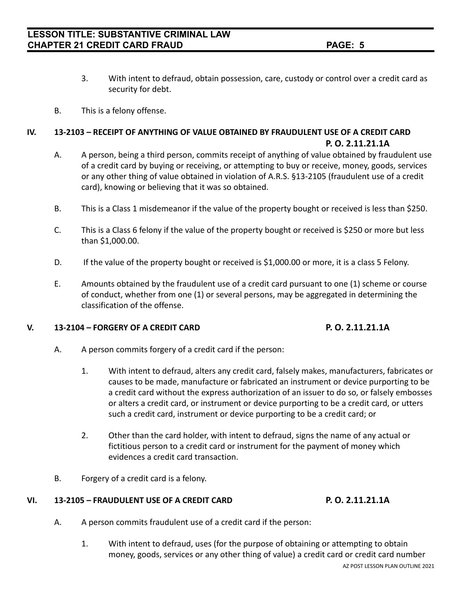- 3. With intent to defraud, obtain possession, care, custody or control over a credit card as security for debt.
- B. This is a felony offense.

## **IV. 13-2103 – RECEIPT OF ANYTHING OF VALUE OBTAINED BY FRAUDULENT USE OF A CREDIT CARD P. O. 2.11.21.1A**

- A. A person, being a third person, commits receipt of anything of value obtained by fraudulent use of a credit card by buying or receiving, or attempting to buy or receive, money, goods, services or any other thing of value obtained in violation of A.R.S. §13-2105 (fraudulent use of a credit card), knowing or believing that it was so obtained.
- B. This is a Class 1 misdemeanor if the value of the property bought or received is less than \$250.
- C. This is a Class 6 felony if the value of the property bought or received is \$250 or more but less than \$1,000.00.
- D. If the value of the property bought or received is \$1,000.00 or more, it is a class 5 Felony.
- E. Amounts obtained by the fraudulent use of a credit card pursuant to one (1) scheme or course of conduct, whether from one (1) or several persons, may be aggregated in determining the classification of the offense.

### **V. 13-2104 – FORGERY OF A CREDIT CARD P. O. 2.11.21.1A**

- A. A person commits forgery of a credit card if the person:
	- 1. With intent to defraud, alters any credit card, falsely makes, manufacturers, fabricates or causes to be made, manufacture or fabricated an instrument or device purporting to be a credit card without the express authorization of an issuer to do so, or falsely embosses or alters a credit card, or instrument or device purporting to be a credit card, or utters such a credit card, instrument or device purporting to be a credit card; or
	- 2. Other than the card holder, with intent to defraud, signs the name of any actual or fictitious person to a credit card or instrument for the payment of money which evidences a credit card transaction.
- B. Forgery of a credit card is a felony.

#### **VI. 13-2105 – FRAUDULENT USE OF A CREDIT CARD P. O. 2.11.21.1A**

- A. A person commits fraudulent use of a credit card if the person:
	- 1. With intent to defraud, uses (for the purpose of obtaining or attempting to obtain money, goods, services or any other thing of value) a credit card or credit card number